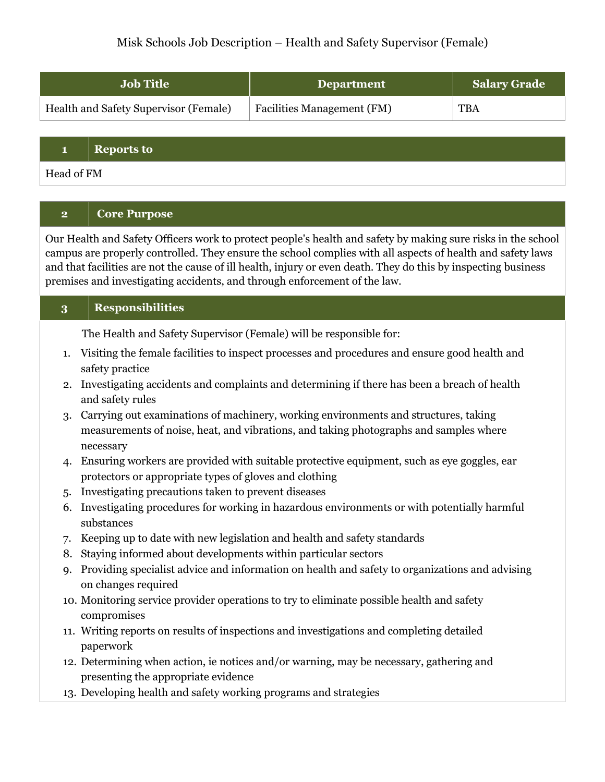# Misk Schools Job Description – Health and Safety Supervisor (Female)

| <b>Job Title</b>                      | <b>Department</b>          | Salary Grade |
|---------------------------------------|----------------------------|--------------|
| Health and Safety Supervisor (Female) | Facilities Management (FM) | <b>TBA</b>   |

**1 Reports to**

Head of FM

# **2 Core Purpose**

Our Health and Safety Officers work to protect people's health and safety by making sure risks in the school campus are properly controlled. They ensure the school complies with all aspects of health and safety laws and that facilities are not the cause of ill health, injury or even death. They do this by inspecting business premises and investigating accidents, and through enforcement of the law.

| -3 | <b>Responsibilities</b> |
|----|-------------------------|
|    |                         |

The Health and Safety Supervisor (Female) will be responsible for:

- 1. Visiting the female facilities to inspect processes and procedures and ensure good health and safety practice
- 2. Investigating accidents and complaints and determining if there has been a breach of health and safety rules
- 3. Carrying out examinations of machinery, working environments and structures, taking measurements of noise, heat, and vibrations, and taking photographs and samples where necessary
- 4. Ensuring workers are provided with suitable protective equipment, such as eye goggles, ear protectors or appropriate types of gloves and clothing
- 5. Investigating precautions taken to prevent diseases
- 6. Investigating procedures for working in hazardous environments or with potentially harmful substances
- 7. Keeping up to date with new legislation and health and safety standards
- 8. Staying informed about developments within particular sectors
- 9. Providing specialist advice and information on health and safety to organizations and advising on changes required
- 10. Monitoring service provider operations to try to eliminate possible health and safety compromises
- 11. Writing reports on results of inspections and investigations and completing detailed paperwork
- 12. Determining when action, ie notices and/or warning, may be necessary, gathering and presenting the appropriate evidence
- 13. Developing health and safety working programs and strategies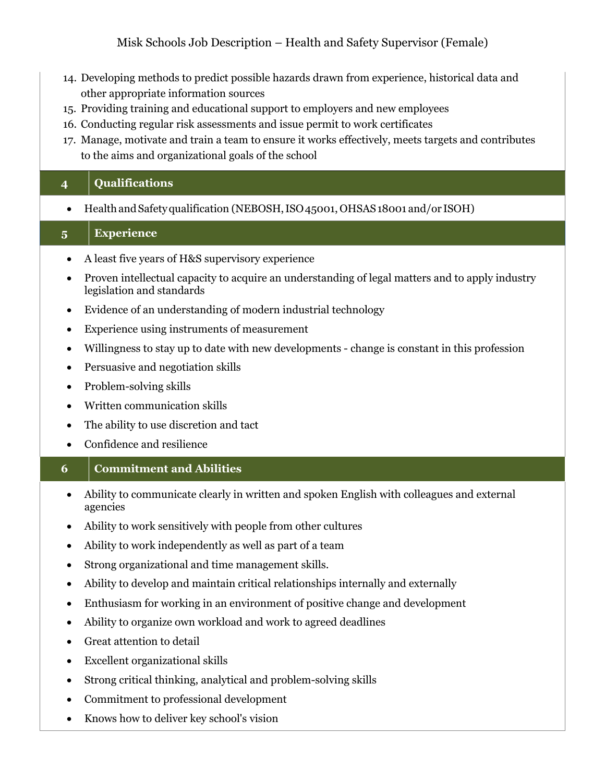- 14. Developing methods to predict possible hazards drawn from experience, historical data and other appropriate information sources
- 15. Providing training and educational support to employers and new employees
- 16. Conducting regular risk assessments and issue permit to work certificates
- 17. Manage, motivate and train a team to ensure it works effectively, meets targets and contributes to the aims and organizational goals of the school

### **4 Qualifications**

• Health and Safety qualification (NEBOSH, ISO 45001, OHSAS 18001 and/or ISOH)

### **5 Experience**

- A least five years of H&S supervisory experience
- Proven intellectual capacity to acquire an understanding of legal matters and to apply industry legislation and standards
- Evidence of an understanding of modern industrial technology
- Experience using instruments of measurement
- Willingness to stay up to date with new developments change is constant in this profession
- Persuasive and negotiation skills
- Problem-solving skills
- Written communication skills
- The ability to use discretion and tact
- Confidence and resilience

# **6 Commitment and Abilities**

- Ability to communicate clearly in written and spoken English with colleagues and external agencies
- Ability to work sensitively with people from other cultures
- Ability to work independently as well as part of a team
- Strong organizational and time management skills.
- Ability to develop and maintain critical relationships internally and externally
- Enthusiasm for working in an environment of positive change and development
- Ability to organize own workload and work to agreed deadlines
- Great attention to detail
- Excellent organizational skills
- Strong critical thinking, analytical and problem-solving skills
- Commitment to professional development
- Knows how to deliver key school's vision